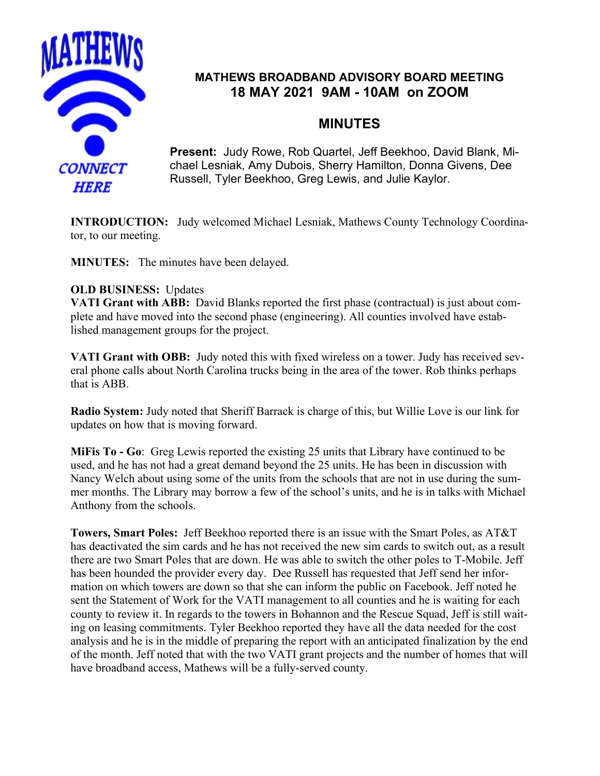

## **MATHEWS BROADBAND ADVISORY BOARD MEETING 18 MAY 2021 9AM - 10AM on ZOOM**

# **MINUTES**

**Present:** Judy Rowe, Rob Quartel, Jeff Beekhoo, David Blank, Michael Lesniak, Amy Dubois, Sherry Hamilton, Donna Givens, Dee Russell, Tyler Beekhoo, Greg Lewis, and Julie Kaylor.

**INTRODUCTION:** Judy welcomed Michael Lesniak, Mathews County Technology Coordinator, to our meeting.

**MINUTES:** The minutes have been delayed.

### **OLD BUSINESS:** Updates

**VATI Grant with ABB:** David Blanks reported the first phase (contractual) is just about complete and have moved into the second phase (engineering). All counties involved have established management groups for the project.

**VATI Grant with OBB:** Judy noted this with fixed wireless on a tower. Judy has received several phone calls about North Carolina trucks being in the area of the tower. Rob thinks perhaps that is ABB.

**Radio System:** Judy noted that Sheriff Barrack is charge of this, but Willie Love is our link for updates on how that is moving forward.

**MiFis To - Go**: Greg Lewis reported the existing 25 units that Library have continued to be used, and he has not had a great demand beyond the 25 units. He has been in discussion with Nancy Welch about using some of the units from the schools that are not in use during the summer months. The Library may borrow a few of the school's units, and he is in talks with Michael Anthony from the schools.

**Towers, Smart Poles:** Jeff Beekhoo reported there is an issue with the Smart Poles, as AT&T has deactivated the sim cards and he has not received the new sim cards to switch out, as a result there are two Smart Poles that are down. He was able to switch the other poles to T-Mobile. Jeff has been hounded the provider every day. Dee Russell has requested that Jeff send her information on which towers are down so that she can inform the public on Facebook. Jeff noted he sent the Statement of Work for the VATI management to all counties and he is waiting for each county to review it. In regards to the towers in Bohannon and the Rescue Squad, Jeff is still waiting on leasing commitments. Tyler Beekhoo reported they have all the data needed for the cost analysis and he is in the middle of preparing the report with an anticipated finalization by the end of the month. Jeff noted that with the two VATI grant projects and the number of homes that will have broadband access, Mathews will be a fully-served county.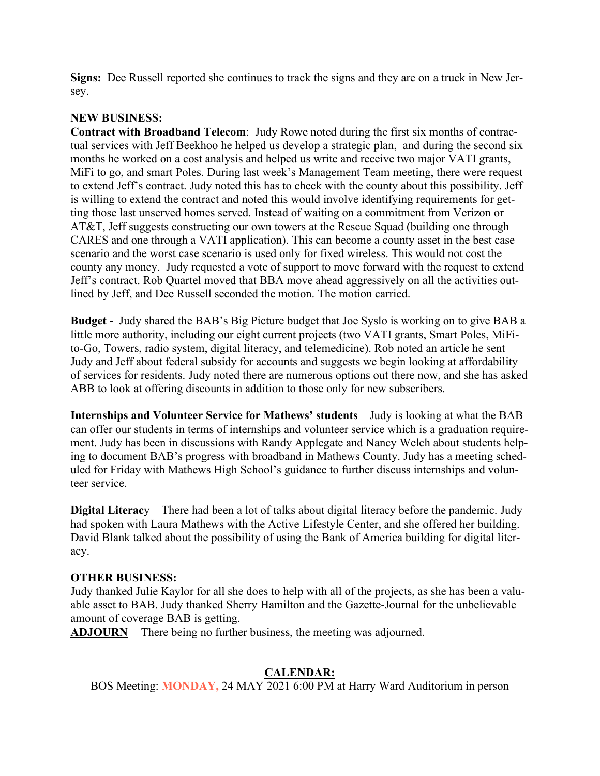**Signs:** Dee Russell reported she continues to track the signs and they are on a truck in New Jersey.

#### **NEW BUSINESS:**

**Contract with Broadband Telecom**: Judy Rowe noted during the first six months of contractual services with Jeff Beekhoo he helped us develop a strategic plan, and during the second six months he worked on a cost analysis and helped us write and receive two major VATI grants, MiFi to go, and smart Poles. During last week's Management Team meeting, there were request to extend Jeff's contract. Judy noted this has to check with the county about this possibility. Jeff is willing to extend the contract and noted this would involve identifying requirements for getting those last unserved homes served. Instead of waiting on a commitment from Verizon or AT&T, Jeff suggests constructing our own towers at the Rescue Squad (building one through CARES and one through a VATI application). This can become a county asset in the best case scenario and the worst case scenario is used only for fixed wireless. This would not cost the county any money. Judy requested a vote of support to move forward with the request to extend Jeff's contract. Rob Quartel moved that BBA move ahead aggressively on all the activities outlined by Jeff, and Dee Russell seconded the motion. The motion carried.

**Budget -** Judy shared the BAB's Big Picture budget that Joe Syslo is working on to give BAB a little more authority, including our eight current projects (two VATI grants, Smart Poles, MiFito-Go, Towers, radio system, digital literacy, and telemedicine). Rob noted an article he sent Judy and Jeff about federal subsidy for accounts and suggests we begin looking at affordability of services for residents. Judy noted there are numerous options out there now, and she has asked ABB to look at offering discounts in addition to those only for new subscribers.

**Internships and Volunteer Service for Mathews' students** – Judy is looking at what the BAB can offer our students in terms of internships and volunteer service which is a graduation requirement. Judy has been in discussions with Randy Applegate and Nancy Welch about students helping to document BAB's progress with broadband in Mathews County. Judy has a meeting scheduled for Friday with Mathews High School's guidance to further discuss internships and volunteer service.

**Digital Literac**y – There had been a lot of talks about digital literacy before the pandemic. Judy had spoken with Laura Mathews with the Active Lifestyle Center, and she offered her building. David Blank talked about the possibility of using the Bank of America building for digital literacy.

#### **OTHER BUSINESS:**

Judy thanked Julie Kaylor for all she does to help with all of the projects, as she has been a valuable asset to BAB. Judy thanked Sherry Hamilton and the Gazette-Journal for the unbelievable amount of coverage BAB is getting.

**ADJOURN** There being no further business, the meeting was adjourned.

#### **CALENDAR:**

BOS Meeting: **MONDAY,** 24 MAY 2021 6:00 PM at Harry Ward Auditorium in person